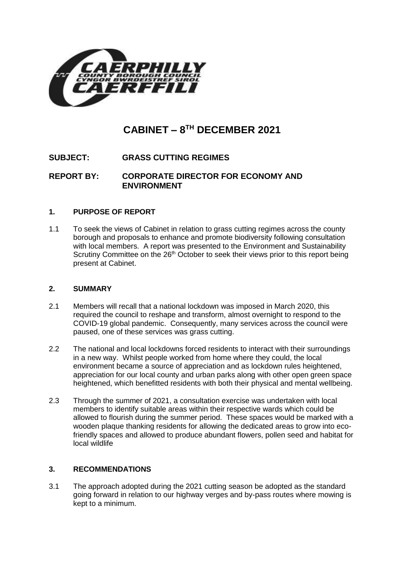

# **CABINET – 8 TH DECEMBER 2021**

## **SUBJECT: GRASS CUTTING REGIMES**

## **REPORT BY: CORPORATE DIRECTOR FOR ECONOMY AND ENVIRONMENT**

#### **1. PURPOSE OF REPORT**

1.1 To seek the views of Cabinet in relation to grass cutting regimes across the county borough and proposals to enhance and promote biodiversity following consultation with local members. A report was presented to the Environment and Sustainability Scrutiny Committee on the 26<sup>th</sup> October to seek their views prior to this report being present at Cabinet.

#### **2. SUMMARY**

- 2.1 Members will recall that a national lockdown was imposed in March 2020, this required the council to reshape and transform, almost overnight to respond to the COVID-19 global pandemic. Consequently, many services across the council were paused, one of these services was grass cutting.
- 2.2 The national and local lockdowns forced residents to interact with their surroundings in a new way. Whilst people worked from home where they could, the local environment became a source of appreciation and as lockdown rules heightened, appreciation for our local county and urban parks along with other open green space heightened, which benefitted residents with both their physical and mental wellbeing.
- 2.3 Through the summer of 2021, a consultation exercise was undertaken with local members to identify suitable areas within their respective wards which could be allowed to flourish during the summer period. These spaces would be marked with a wooden plaque thanking residents for allowing the dedicated areas to grow into ecofriendly spaces and allowed to produce abundant flowers, pollen seed and habitat for local wildlife

#### **3. RECOMMENDATIONS**

3.1 The approach adopted during the 2021 cutting season be adopted as the standard going forward in relation to our highway verges and by-pass routes where mowing is kept to a minimum.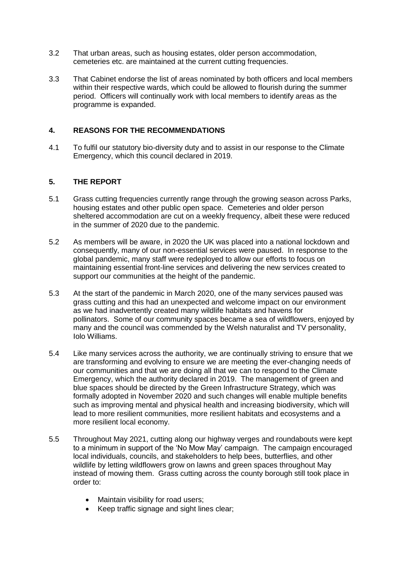- 3.2 That urban areas, such as housing estates, older person accommodation, cemeteries etc. are maintained at the current cutting frequencies.
- 3.3 That Cabinet endorse the list of areas nominated by both officers and local members within their respective wards, which could be allowed to flourish during the summer period. Officers will continually work with local members to identify areas as the programme is expanded.

#### **4. REASONS FOR THE RECOMMENDATIONS**

4.1 To fulfil our statutory bio-diversity duty and to assist in our response to the Climate Emergency, which this council declared in 2019.

#### **5. THE REPORT**

- 5.1 Grass cutting frequencies currently range through the growing season across Parks, housing estates and other public open space. Cemeteries and older person sheltered accommodation are cut on a weekly frequency, albeit these were reduced in the summer of 2020 due to the pandemic.
- 5.2 As members will be aware, in 2020 the UK was placed into a national lockdown and consequently, many of our non-essential services were paused. In response to the global pandemic, many staff were redeployed to allow our efforts to focus on maintaining essential front-line services and delivering the new services created to support our communities at the height of the pandemic.
- 5.3 At the start of the pandemic in March 2020, one of the many services paused was grass cutting and this had an unexpected and welcome impact on our environment as we had inadvertently created many wildlife habitats and havens for pollinators. Some of our community spaces became a sea of wildflowers, enjoyed by many and the council was commended by the Welsh naturalist and TV personality, Iolo Williams.
- 5.4 Like many services across the authority, we are continually striving to ensure that we are transforming and evolving to ensure we are meeting the ever-changing needs of our communities and that we are doing all that we can to respond to the Climate Emergency, which the authority declared in 2019. The management of green and blue spaces should be directed by the Green Infrastructure Strategy, which was formally adopted in November 2020 and such changes will enable multiple benefits such as improving mental and physical health and increasing biodiversity, which will lead to more resilient communities, more resilient habitats and ecosystems and a more resilient local economy.
- 5.5 Throughout May 2021, cutting along our highway verges and roundabouts were kept to a minimum in support of the 'No Mow May' campaign. The campaign encouraged local individuals, councils, and stakeholders to help bees, butterflies, and other wildlife by letting wildflowers grow on lawns and green spaces throughout May instead of mowing them. Grass cutting across the county borough still took place in order to:
	- Maintain visibility for road users;
	- Keep traffic signage and sight lines clear;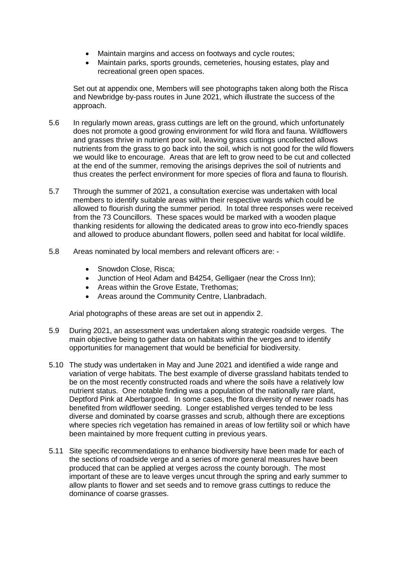- Maintain margins and access on footways and cycle routes;
- Maintain parks, sports grounds, cemeteries, housing estates, play and recreational green open spaces.

Set out at appendix one, Members will see photographs taken along both the Risca and Newbridge by-pass routes in June 2021, which illustrate the success of the approach.

- 5.6 In regularly mown areas, grass cuttings are left on the ground, which unfortunately does not promote a good growing environment for wild flora and fauna. Wildflowers and grasses thrive in nutrient poor soil, leaving grass cuttings uncollected allows nutrients from the grass to go back into the soil, which is not good for the wild flowers we would like to encourage. Areas that are left to grow need to be cut and collected at the end of the summer, removing the arisings deprives the soil of nutrients and thus creates the perfect environment for more species of flora and fauna to flourish.
- 5.7 Through the summer of 2021, a consultation exercise was undertaken with local members to identify suitable areas within their respective wards which could be allowed to flourish during the summer period. In total three responses were received from the 73 Councillors. These spaces would be marked with a wooden plaque thanking residents for allowing the dedicated areas to grow into eco-friendly spaces and allowed to produce abundant flowers, pollen seed and habitat for local wildlife.
- 5.8 Areas nominated by local members and relevant officers are:
	- Snowdon Close, Risca;
	- Junction of Heol Adam and B4254, Gelligaer (near the Cross Inn);
	- Areas within the Grove Estate, Trethomas;
	- Areas around the Community Centre, Llanbradach.

Arial photographs of these areas are set out in appendix 2.

- 5.9 During 2021, an assessment was undertaken along strategic roadside verges. The main objective being to gather data on habitats within the verges and to identify opportunities for management that would be beneficial for biodiversity.
- 5.10 The study was undertaken in May and June 2021 and identified a wide range and variation of verge habitats. The best example of diverse grassland habitats tended to be on the most recently constructed roads and where the soils have a relatively low nutrient status. One notable finding was a population of the nationally rare plant, Deptford Pink at Aberbargoed. In some cases, the flora diversity of newer roads has benefited from wildflower seeding. Longer established verges tended to be less diverse and dominated by coarse grasses and scrub, although there are exceptions where species rich vegetation has remained in areas of low fertility soil or which have been maintained by more frequent cutting in previous years.
- 5.11 Site specific recommendations to enhance biodiversity have been made for each of the sections of roadside verge and a series of more general measures have been produced that can be applied at verges across the county borough. The most important of these are to leave verges uncut through the spring and early summer to allow plants to flower and set seeds and to remove grass cuttings to reduce the dominance of coarse grasses.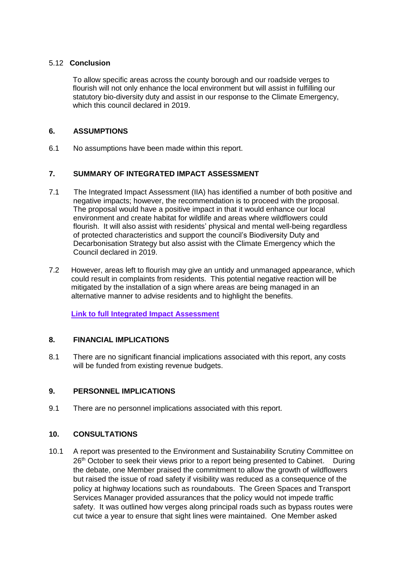#### 5.12 **Conclusion**

To allow specific areas across the county borough and our roadside verges to flourish will not only enhance the local environment but will assist in fulfilling our statutory bio-diversity duty and assist in our response to the Climate Emergency, which this council declared in 2019.

#### **6. ASSUMPTIONS**

6.1 No assumptions have been made within this report.

## **7. SUMMARY OF INTEGRATED IMPACT ASSESSMENT**

- 7.1 The Integrated Impact Assessment (IIA) has identified a number of both positive and negative impacts; however, the recommendation is to proceed with the proposal. The proposal would have a positive impact in that it would enhance our local environment and create habitat for wildlife and areas where wildflowers could flourish. It will also assist with residents' physical and mental well-being regardless of protected characteristics and support the council's Biodiversity Duty and Decarbonisation Strategy but also assist with the Climate Emergency which the Council declared in 2019.
- 7.2 However, areas left to flourish may give an untidy and unmanaged appearance, which could result in complaints from residents. This potential negative reaction will be mitigated by the installation of a sign where areas are being managed in an alternative manner to advise residents and to highlight the benefits.

**[Link to full Integrated Impact Assessment](http://www.caerphilly.gov.uk/CaerphillyDocs/IIA/iia-green-spaces-transport-form)**

## **8. FINANCIAL IMPLICATIONS**

8.1 There are no significant financial implications associated with this report, any costs will be funded from existing revenue budgets.

#### **9. PERSONNEL IMPLICATIONS**

9.1 There are no personnel implications associated with this report.

#### **10. CONSULTATIONS**

10.1 A report was presented to the Environment and Sustainability Scrutiny Committee on 26<sup>th</sup> October to seek their views prior to a report being presented to Cabinet. During the debate, one Member praised the commitment to allow the growth of wildflowers but raised the issue of road safety if visibility was reduced as a consequence of the policy at highway locations such as roundabouts. The Green Spaces and Transport Services Manager provided assurances that the policy would not impede traffic safety. It was outlined how verges along principal roads such as bypass routes were cut twice a year to ensure that sight lines were maintained. One Member asked